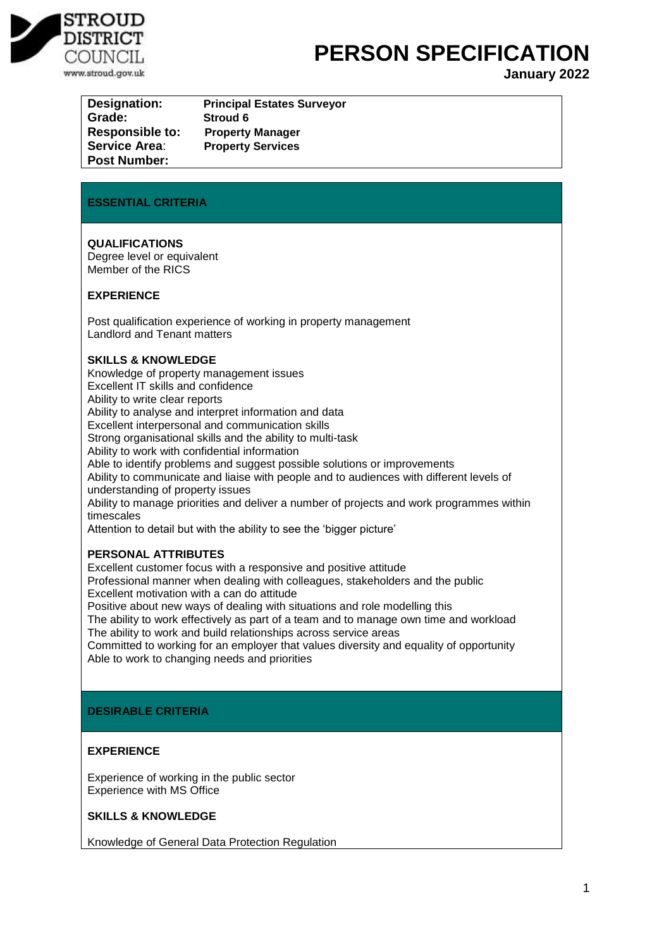

# **PERSON SPECIFICATION**

**January 2022**

| Designation:           | <b>Principal Estates Surveyor</b> |
|------------------------|-----------------------------------|
| Grade:                 | Stroud 6                          |
| <b>Responsible to:</b> | <b>Property Manager</b>           |
| <b>Service Area:</b>   | <b>Property Services</b>          |
| <b>Post Number:</b>    |                                   |

#### **ESSENTIAL CRITERIA**

**QUALIFICATIONS**  Degree level or equivalent Member of the RICS

#### **EXPERIENCE**

Post qualification experience of working in property management Landlord and Tenant matters

#### **SKILLS & KNOWLEDGE**

Knowledge of property management issues Excellent IT skills and confidence Ability to write clear reports Ability to analyse and interpret information and data Excellent interpersonal and communication skills Strong organisational skills and the ability to multi-task Ability to work with confidential information Able to identify problems and suggest possible solutions or improvements Ability to communicate and liaise with people and to audiences with different levels of understanding of property issues Ability to manage priorities and deliver a number of projects and work programmes within timescales Attention to detail but with the ability to see the 'bigger picture' **PERSONAL ATTRIBUTES**

Excellent customer focus with a responsive and positive attitude Professional manner when dealing with colleagues, stakeholders and the public Excellent motivation with a can do attitude Positive about new ways of dealing with situations and role modelling this The ability to work effectively as part of a team and to manage own time and workload The ability to work and build relationships across service areas

Committed to working for an employer that values diversity and equality of opportunity Able to work to changing needs and priorities

#### **DESIRABLE CRITERIA**

#### **EXPERIENCE**

Experience of working in the public sector Experience with MS Office

#### **SKILLS & KNOWLEDGE**

Knowledge of General Data Protection Regulation